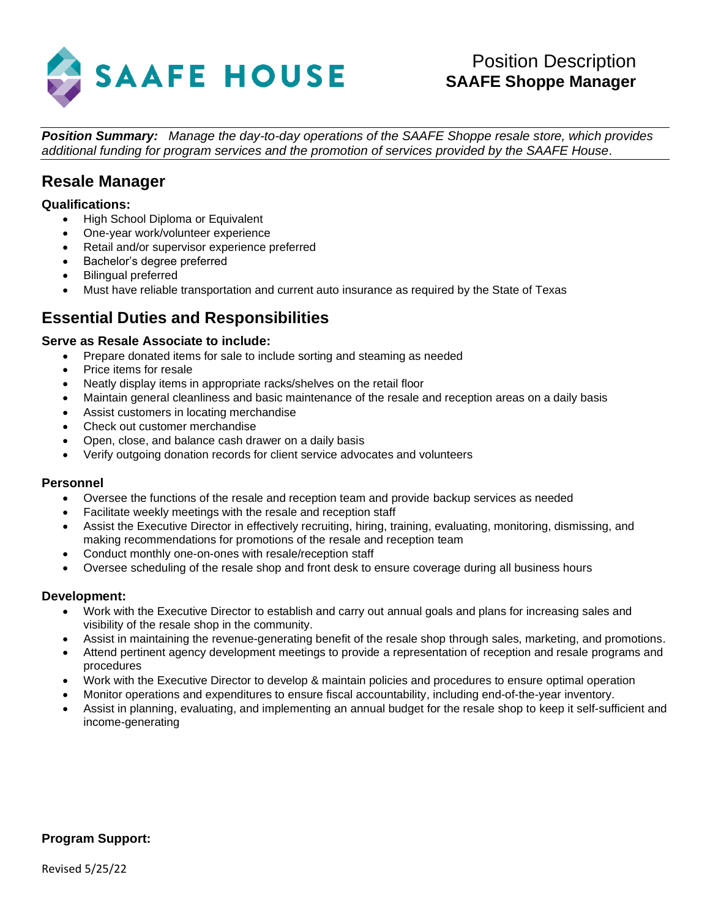

*Position Summary: Manage the day-to-day operations of the SAAFE Shoppe resale store, which provides additional funding for program services and the promotion of services provided by the SAAFE House.*

# **Resale Manager**

## **Qualifications:**

- High School Diploma or Equivalent
- One-year work/volunteer experience
- Retail and/or supervisor experience preferred
- Bachelor's degree preferred
- Bilingual preferred
- Must have reliable transportation and current auto insurance as required by the State of Texas

# **Essential Duties and Responsibilities**

## **Serve as Resale Associate to include:**

- Prepare donated items for sale to include sorting and steaming as needed
- Price items for resale
- Neatly display items in appropriate racks/shelves on the retail floor
- Maintain general cleanliness and basic maintenance of the resale and reception areas on a daily basis
- Assist customers in locating merchandise
- Check out customer merchandise
- Open, close, and balance cash drawer on a daily basis
- Verify outgoing donation records for client service advocates and volunteers

### **Personnel**

- Oversee the functions of the resale and reception team and provide backup services as needed
- Facilitate weekly meetings with the resale and reception staff
- Assist the Executive Director in effectively recruiting, hiring, training, evaluating, monitoring, dismissing, and making recommendations for promotions of the resale and reception team
- Conduct monthly one-on-ones with resale/reception staff
- Oversee scheduling of the resale shop and front desk to ensure coverage during all business hours

## **Development:**

- Work with the Executive Director to establish and carry out annual goals and plans for increasing sales and visibility of the resale shop in the community.
- Assist in maintaining the revenue-generating benefit of the resale shop through sales, marketing, and promotions.
- Attend pertinent agency development meetings to provide a representation of reception and resale programs and procedures
- Work with the Executive Director to develop & maintain policies and procedures to ensure optimal operation
- Monitor operations and expenditures to ensure fiscal accountability, including end-of-the-year inventory.
- Assist in planning, evaluating, and implementing an annual budget for the resale shop to keep it self-sufficient and income-generating

## **Program Support:**